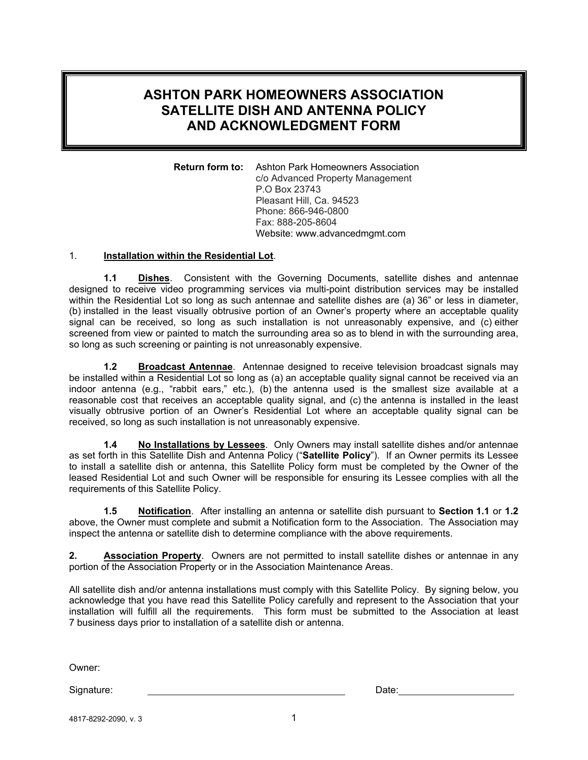## **ASHTON PARK HOMEOWNERS ASSOCIATION SATELLITE DISH AND ANTENNA POLICY AND ACKNOWLEDGMENT FORM**

**Return form to:** Ashton Park Homeowners Association c/o Advanced Property Management P.O Box 23743 Pleasant Hill, Ca. 94523 Phone: 866-946-0800 Fax: 888-205-8604 Website: www.advancedmgmt.com

## 1. **Installation within the Residential Lot**.

**1.1 Dishes**. Consistent with the Governing Documents, satellite dishes and antennae designed to receive video programming services via multi-point distribution services may be installed within the Residential Lot so long as such antennae and satellite dishes are (a) 36" or less in diameter, (b) installed in the least visually obtrusive portion of an Owner's property where an acceptable quality signal can be received, so long as such installation is not unreasonably expensive, and (c) either screened from view or painted to match the surrounding area so as to blend in with the surrounding area, so long as such screening or painting is not unreasonably expensive.

**1.2 Broadcast Antennae**. Antennae designed to receive television broadcast signals may be installed within a Residential Lot so long as (a) an acceptable quality signal cannot be received via an indoor antenna (e.g., "rabbit ears," etc.), (b) the antenna used is the smallest size available at a reasonable cost that receives an acceptable quality signal, and (c) the antenna is installed in the least visually obtrusive portion of an Owner's Residential Lot where an acceptable quality signal can be received, so long as such installation is not unreasonably expensive.

**1.4 No Installations by Lessees**. Only Owners may install satellite dishes and/or antennae as set forth in this Satellite Dish and Antenna Policy ("**Satellite Policy**"). If an Owner permits its Lessee to install a satellite dish or antenna, this Satellite Policy form must be completed by the Owner of the leased Residential Lot and such Owner will be responsible for ensuring its Lessee complies with all the requirements of this Satellite Policy.

**1.5 Notification**. After installing an antenna or satellite dish pursuant to **Section 1.1** or **1.2**  above, the Owner must complete and submit a Notification form to the Association. The Association may inspect the antenna or satellite dish to determine compliance with the above requirements.

**2. Association Property**. Owners are not permitted to install satellite dishes or antennae in any portion of the Association Property or in the Association Maintenance Areas.

All satellite dish and/or antenna installations must comply with this Satellite Policy. By signing below, you acknowledge that you have read this Satellite Policy carefully and represent to the Association that your installation will fulfill all the requirements. This form must be submitted to the Association at least 7 business days prior to installation of a satellite dish or antenna.

Owner:

Signature: Date: